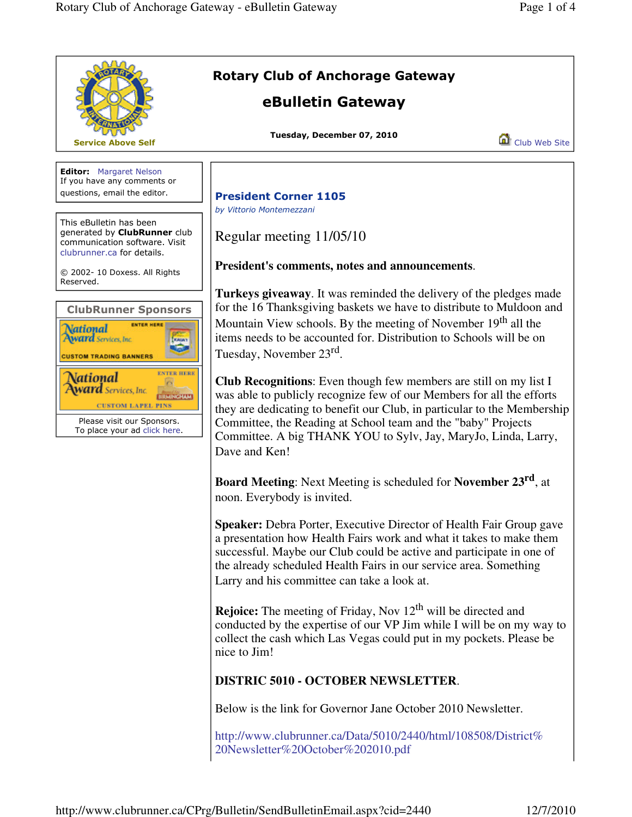

http://www.clubrunner.ca/Data/5010/2440/html/108508/District% 20Newsletter%20October%202010.pdf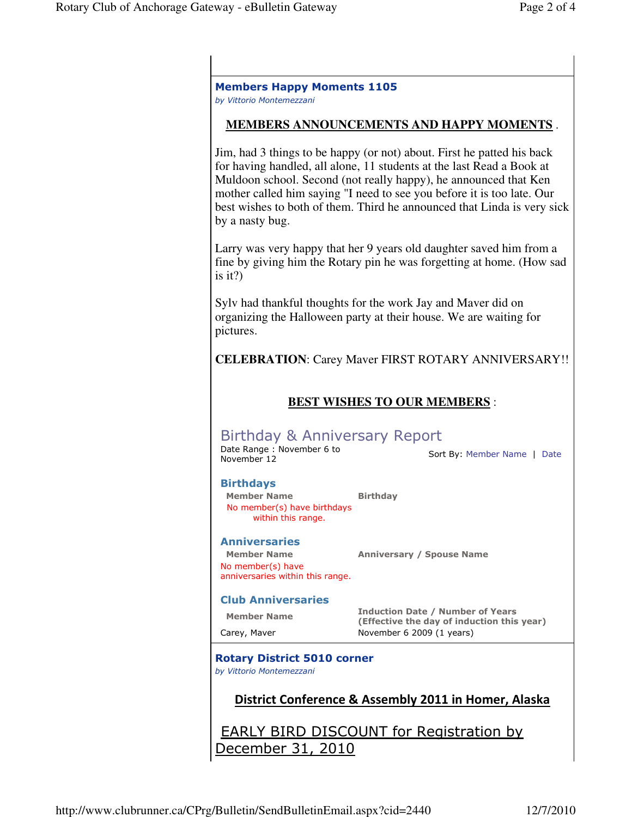| <b>MEMBERS ANNOUNCEMENTS AND HAPPY MOMENTS.</b>                                                     |                                                                                                                                                                                                                                                                                                                                                                          |
|-----------------------------------------------------------------------------------------------------|--------------------------------------------------------------------------------------------------------------------------------------------------------------------------------------------------------------------------------------------------------------------------------------------------------------------------------------------------------------------------|
| by a nasty bug.                                                                                     | Jim, had 3 things to be happy (or not) about. First he patted his back<br>for having handled, all alone, 11 students at the last Read a Book at<br>Muldoon school. Second (not really happy), he announced that Ken<br>mother called him saying "I need to see you before it is too late. Our<br>best wishes to both of them. Third he announced that Linda is very sick |
| is it?)                                                                                             | Larry was very happy that her 9 years old daughter saved him from a<br>fine by giving him the Rotary pin he was forgetting at home. (How sad                                                                                                                                                                                                                             |
|                                                                                                     | Sylv had thankful thoughts for the work Jay and Maver did on<br>organizing the Halloween party at their house. We are waiting for                                                                                                                                                                                                                                        |
| pictures.                                                                                           |                                                                                                                                                                                                                                                                                                                                                                          |
|                                                                                                     |                                                                                                                                                                                                                                                                                                                                                                          |
|                                                                                                     |                                                                                                                                                                                                                                                                                                                                                                          |
|                                                                                                     | <b>BEST WISHES TO OUR MEMBERS:</b>                                                                                                                                                                                                                                                                                                                                       |
| Birthday & Anniversary Report<br>Date Range : November 6 to<br>November 12                          | <b>CELEBRATION:</b> Carey Maver FIRST ROTARY ANNIVERSARY!!<br>Sort By: Member Name   Date                                                                                                                                                                                                                                                                                |
| <b>Birthdays</b><br><b>Member Name</b><br>No member(s) have birthdays<br>within this range.         | <b>Birthday</b>                                                                                                                                                                                                                                                                                                                                                          |
| <b>Anniversaries</b><br><b>Member Name</b><br>No member(s) have<br>anniversaries within this range. | <b>Anniversary / Spouse Name</b>                                                                                                                                                                                                                                                                                                                                         |
| <b>Club Anniversaries</b>                                                                           |                                                                                                                                                                                                                                                                                                                                                                          |
| <b>Member Name</b>                                                                                  | <b>Induction Date / Number of Years</b><br>(Effective the day of induction this year)                                                                                                                                                                                                                                                                                    |

December 31, 2010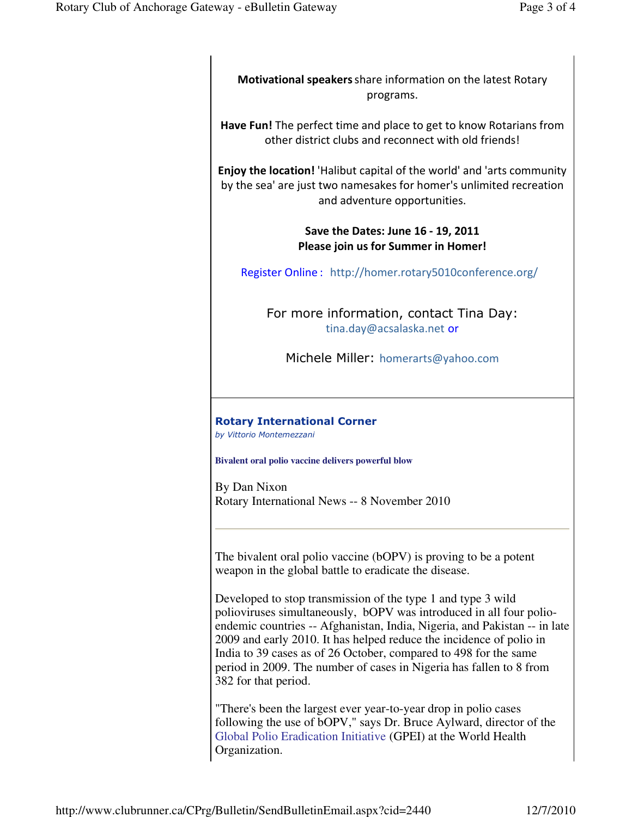Motivational speakers share information on the latest Rotary programs.

Have Fun! The perfect time and place to get to know Rotarians from other district clubs and reconnect with old friends!

Enjoy the location! 'Halibut capital of the world' and 'arts community by the sea' are just two namesakes for homer's unlimited recreation and adventure opportunities.

## Save the Dates: June 16 - 19, 2011 Please join us for Summer in Homer!

Register Online : http://homer.rotary5010conference.org/

For more information, contact Tina Day: tina.day@acsalaska.net or

Michele Miller: homerarts@yahoo.com

## Rotary International Corner

by Vittorio Montemezzani

**Bivalent oral polio vaccine delivers powerful blow**

By Dan Nixon Rotary International News -- 8 November 2010

The bivalent oral polio vaccine (bOPV) is proving to be a potent weapon in the global battle to eradicate the disease.

Developed to stop transmission of the type 1 and type 3 wild polioviruses simultaneously, bOPV was introduced in all four polioendemic countries -- Afghanistan, India, Nigeria, and Pakistan -- in late 2009 and early 2010. It has helped reduce the incidence of polio in India to 39 cases as of 26 October, compared to 498 for the same period in 2009. The number of cases in Nigeria has fallen to 8 from 382 for that period.

"There's been the largest ever year-to-year drop in polio cases following the use of bOPV," says Dr. Bruce Aylward, director of the Global Polio Eradication Initiative (GPEI) at the World Health Organization.